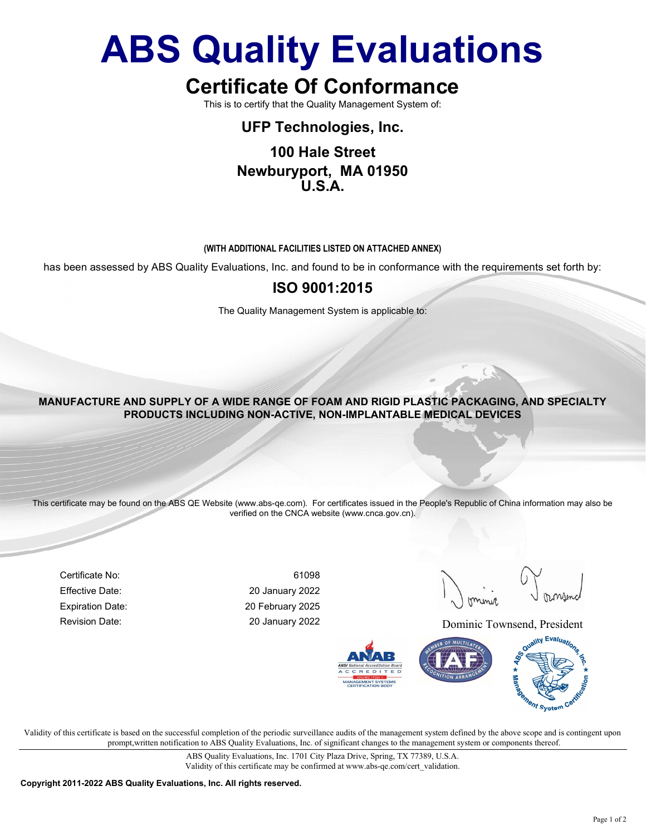# ABS Quality Evaluations

## Certificate Of Conformance

This is to certify that the Quality Management System of:

#### UFP Technologies, Inc.

#### 100 Hale Street Newburyport, MA 01950 U.S.A.

#### (WITH ADDITIONAL FACILITIES LISTED ON ATTACHED ANNEX)

has been assessed by ABS Quality Evaluations, Inc. and found to be in conformance with the requirements set forth by:

#### ISO 9001:2015

The Quality Management System is applicable to:

#### MANUFACTURE AND SUPPLY OF A WIDE RANGE OF FOAM AND RIGID PLASTIC PACKAGING, AND SPECIALTY PRODUCTS INCLUDING NON-ACTIVE, NON-IMPLANTABLE MEDICAL DEVICES

This certificate may be found on the ABS QE Website (www.abs-qe.com). For certificates issued in the People's Republic of China information may also be verified on the CNCA website (www.cnca.gov.cn).

Certificate No: 61098 Effective Date: 20 January 2022 Expiration Date: 20 February 2025

Revision Date: 20 January 2022 Dominic Townsend, President



Validity of this certificate is based on the successful completion of the periodic surveillance audits of the management system defined by the above scope and is contingent upon prompt,written notification to ABS Quality Evaluations, Inc. of significant changes to the management system or components thereof.

> ABS Quality Evaluations, Inc. 1701 City Plaza Drive, Spring, TX 77389, U.S.A. Validity of this certificate may be confirmed at www.abs-qe.com/cert\_validation.

Copyright 2011-2022 ABS Quality Evaluations, Inc. All rights reserved.